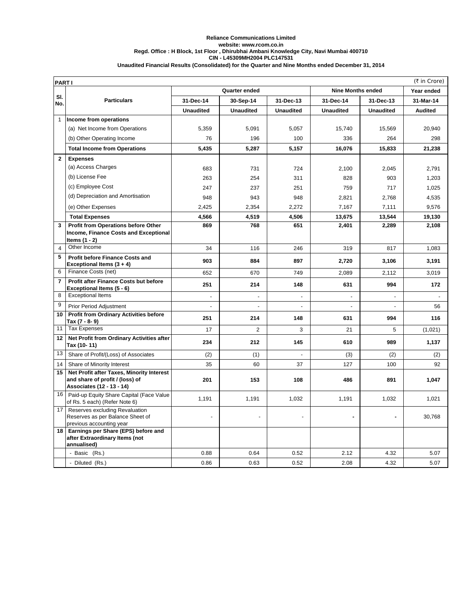## **Reliance Communications Limited website: www.rcom.co.in Regd. Office : H Block, 1st Floor , Dhirubhai Ambani Knowledge City, Navi Mumbai 400710 Unaudited Financial Results (Consolidated) for the Quarter and Nine Months ended December 31, 2014 CIN - L45309MH2004 PLC147531**

| (₹ in Crore)<br><b>PARTI</b> |                                                                                                           |                  |                          |                          |                          |                  |                |
|------------------------------|-----------------------------------------------------------------------------------------------------------|------------------|--------------------------|--------------------------|--------------------------|------------------|----------------|
|                              |                                                                                                           |                  | <b>Quarter ended</b>     |                          | <b>Nine Months ended</b> | Year ended       |                |
| SI.                          | <b>Particulars</b>                                                                                        | 31-Dec-14        | 30-Sep-14                | 31-Dec-13                | 31-Dec-14                | 31-Dec-13        | 31-Mar-14      |
| No.                          |                                                                                                           | <b>Unaudited</b> | <b>Unaudited</b>         | <b>Unaudited</b>         | <b>Unaudited</b>         | <b>Unaudited</b> | <b>Audited</b> |
| $\mathbf{1}$                 | Income from operations                                                                                    |                  |                          |                          |                          |                  |                |
|                              | (a) Net Income from Operations                                                                            | 5,359            | 5,091                    | 5,057                    | 15,740                   | 15,569           | 20,940         |
|                              | (b) Other Operating Income                                                                                | 76               | 196                      | 100                      | 336                      | 264              | 298            |
|                              | <b>Total Income from Operations</b>                                                                       | 5,435            | 5,287                    | 5,157                    | 16,076                   | 15,833           | 21,238         |
| $\mathbf{2}$                 | <b>Expenses</b>                                                                                           |                  |                          |                          |                          |                  |                |
|                              | (a) Access Charges                                                                                        | 683              | 731                      | 724                      | 2,100                    | 2,045            | 2,791          |
|                              | (b) License Fee                                                                                           | 263              | 254                      | 311                      | 828                      | 903              | 1,203          |
|                              | (c) Employee Cost                                                                                         | 247              | 237                      | 251                      | 759                      | 717              | 1,025          |
|                              | (d) Depreciation and Amortisation                                                                         | 948              | 943                      | 948                      | 2,821                    | 2,768            | 4,535          |
|                              | (e) Other Expenses                                                                                        | 2,425            | 2,354                    | 2,272                    | 7,167                    | 7,111            | 9,576          |
|                              | <b>Total Expenses</b>                                                                                     | 4,566            | 4,519                    | 4,506                    | 13,675                   | 13,544           | 19,130         |
| 3                            | Profit from Operations before Other                                                                       | 869              | 768                      | 651                      | 2,401                    | 2,289            | 2,108          |
|                              | Income, Finance Costs and Exceptional                                                                     |                  |                          |                          |                          |                  |                |
|                              | Items $(1 - 2)$                                                                                           |                  |                          |                          |                          |                  |                |
| $\overline{4}$               | Other Income                                                                                              | 34               | 116                      | 246                      | 319                      | 817              | 1,083          |
| 5                            | <b>Profit before Finance Costs and</b><br>Exceptional Items $(3 + 4)$                                     | 903              | 884                      | 897                      | 2,720                    | 3,106            | 3,191          |
| 6                            | Finance Costs (net)                                                                                       | 652              | 670                      | 749                      | 2,089                    | 2,112            | 3,019          |
| $\overline{7}$               | Profit after Finance Costs but before<br>Exceptional Items (5 - 6)                                        | 251              | 214                      | 148                      | 631                      | 994              | 172            |
| 8                            | <b>Exceptional Items</b>                                                                                  | $\overline{a}$   | $\overline{\phantom{a}}$ | $\overline{\phantom{a}}$ | $\overline{a}$           | $\sim$           | $\sim$         |
| 9                            | Prior Period Adjustment                                                                                   | $\sim$           | $\sim$                   | $\overline{a}$           | $\blacksquare$           | $\sim$           | 56             |
| 10                           | <b>Profit from Ordinary Activities before</b><br>Tax (7 - 8- 9)                                           | 251              | 214                      | 148                      | 631                      | 994              | 116            |
| 11                           | <b>Tax Expenses</b>                                                                                       | 17               | 2                        | 3                        | 21                       | 5                | (1,021)        |
| 12                           | Net Profit from Ordinary Activities after<br>Tax (10-11)                                                  | 234              | 212                      | 145                      | 610                      | 989              | 1,137          |
| 13                           | Share of Profit/(Loss) of Associates                                                                      | (2)              | (1)                      | ÷,                       | (3)                      | (2)              | (2)            |
| 14                           | Share of Minority Interest                                                                                | 35               | 60                       | 37                       | 127                      | 100              | 92             |
| 15                           | Net Profit after Taxes, Minority Interest<br>and share of profit / (loss) of<br>Associates (12 - 13 - 14) | 201              | 153                      | 108                      | 486                      | 891              | 1,047          |
| 16                           | Paid-up Equity Share Capital (Face Value<br>of Rs. 5 each) (Refer Note 6)                                 | 1,191            | 1,191                    | 1,032                    | 1,191                    | 1,032            | 1,021          |
| 17                           | Reserves excluding Revaluation<br>Reserves as per Balance Sheet of<br>previous accounting year            | $\blacksquare$   |                          |                          |                          |                  | 30,768         |
| 18                           | Earnings per Share (EPS) before and<br>after Extraordinary Items (not<br>annualised)                      |                  |                          |                          |                          |                  |                |
|                              | - Basic (Rs.)                                                                                             | 0.88             | 0.64                     | 0.52                     | 2.12                     | 4.32             | 5.07           |
|                              | - Diluted (Rs.)                                                                                           | 0.86             | 0.63                     | 0.52                     | 2.08                     | 4.32             | 5.07           |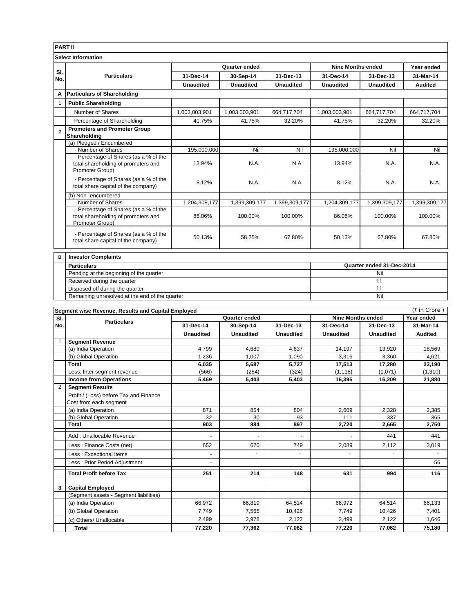| <b>PART II</b>            |                                                                                                 |                           |                  |                  |                          |                  |                |  |
|---------------------------|-------------------------------------------------------------------------------------------------|---------------------------|------------------|------------------|--------------------------|------------------|----------------|--|
| <b>Select Information</b> |                                                                                                 |                           |                  |                  |                          |                  |                |  |
|                           | <b>Particulars</b>                                                                              | Quarter ended             |                  |                  | <b>Nine Months ended</b> |                  | Year ended     |  |
| SI.<br>No.                |                                                                                                 | 31-Dec-14                 | 30-Sep-14        | 31-Dec-13        | 31-Dec-14                | 31-Dec-13        | 31-Mar-14      |  |
|                           |                                                                                                 | <b>Unaudited</b>          | <b>Unaudited</b> | <b>Unaudited</b> | <b>Unaudited</b>         | <b>Unaudited</b> | <b>Audited</b> |  |
| Α                         | <b>Particulars of Shareholding</b>                                                              |                           |                  |                  |                          |                  |                |  |
| $\mathbf{1}$              | <b>Public Shareholding</b>                                                                      |                           |                  |                  |                          |                  |                |  |
|                           | Number of Shares                                                                                | 1,003,003,901             | 1,003,003,901    | 664,717,704      | 1,003,003,901            | 664,717,704      | 664,717,704    |  |
|                           | Percentage of Shareholding                                                                      | 41.75%                    | 41.75%           | 32.20%           | 41.75%                   | 32.20%           | 32.20%         |  |
| $\overline{2}$            | <b>Promoters and Promoter Group</b><br>Shareholding                                             |                           |                  |                  |                          |                  |                |  |
|                           | (a) Pledged / Encumbered                                                                        |                           |                  |                  |                          |                  |                |  |
|                           | - Number of Shares                                                                              | 195,000,000               | Nil              | Nil              | 195,000,000              | Nil              | Nil            |  |
|                           | - Percentage of Shares (as a % of the<br>total shareholding of promoters and<br>Promoter Group) | 13.94%                    | N.A.             | N.A.             | 13.94%                   | N.A.             | N.A.           |  |
|                           | - Percentage of Shares (as a % of the<br>total share capital of the company)                    | 8.12%                     | N.A.             | N.A.             | 8.12%                    | N.A.             | N.A.           |  |
|                           | (b) Non-encumbered                                                                              |                           |                  |                  |                          |                  |                |  |
|                           | - Number of Shares                                                                              | 1,204,309,177             | 1,399,309,177    | 1,399,309,177    | 1,204,309,177            | 1,399,309,177    | 1,399,309,177  |  |
|                           | - Percentage of Shares (as a % of the<br>total shareholding of promoters and<br>Promoter Group) | 86.06%                    | 100.00%          | 100.00%          | 86.06%                   | 100.00%          | 100.00%        |  |
|                           | - Percentage of Shares (as a % of the<br>total share capital of the company)                    | 50.13%                    | 58.25%           | 67.80%           | 50.13%                   | 67.80%           | 67.80%         |  |
| B                         | <b>Investor Complaints</b>                                                                      |                           |                  |                  |                          |                  |                |  |
|                           | <b>Particulars</b>                                                                              | Quarter ended 31-Dec-2014 |                  |                  |                          |                  |                |  |
|                           | Pending at the beginning of the quarter                                                         |                           |                  |                  | Nil                      |                  |                |  |
|                           | Received during the quarter                                                                     |                           |                  |                  | 11                       |                  |                |  |
|                           | Disposed off during the quarter                                                                 |                           |                  |                  | 11                       |                  |                |  |
|                           | Remaining unresolved at the end of the quarter                                                  |                           |                  |                  | Nil                      |                  |                |  |

|                | (₹ in Crore)<br>Segment wise Revenue, Results and Capital Employed |                  |                  |                  |                          |                  |                |  |
|----------------|--------------------------------------------------------------------|------------------|------------------|------------------|--------------------------|------------------|----------------|--|
| SI.            | <b>Particulars</b>                                                 | Quarter ended    |                  |                  | <b>Nine Months ended</b> |                  | Year ended     |  |
| No.            |                                                                    | 31-Dec-14        | 30-Sep-14        | 31-Dec-13        | 31-Dec-14                | 31-Dec-13        | 31-Mar-14      |  |
|                |                                                                    | <b>Unaudited</b> | <b>Unaudited</b> | <b>Unaudited</b> | <b>Unaudited</b>         | <b>Unaudited</b> | <b>Audited</b> |  |
| 1              | <b>Segment Revenue</b>                                             |                  |                  |                  |                          |                  |                |  |
|                | (a) India Operation                                                | 4.799            | 4.680            | 4.637            | 14,197                   | 13,920           | 18,569         |  |
|                | (b) Global Operation                                               | 1,236            | 1.007            | 1.090            | 3,316                    | 3,360            | 4,621          |  |
|                | Total                                                              | 6,035            | 5,687            | 5,727            | 17,513                   | 17,280           | 23,190         |  |
|                | Less: Inter segment revenue                                        | (566)            | (284)            | (324)            | (1, 118)                 | (1,071)          | (1, 310)       |  |
|                | <b>Income from Operations</b>                                      | 5.469            | 5.403            | 5.403            | 16,395                   | 16.209           | 21,880         |  |
| $\overline{2}$ | <b>Segment Results</b>                                             |                  |                  |                  |                          |                  |                |  |
|                | Profit / (Loss) before Tax and Finance                             |                  |                  |                  |                          |                  |                |  |
|                | Cost from each segment                                             |                  |                  |                  |                          |                  |                |  |
|                | (a) India Operation                                                | 871              | 854              | 804              | 2,609                    | 2,328            | 2,385          |  |
|                | (b) Global Operation                                               | 32               | 30               | 93               | 111                      | 337              | 365            |  |
|                | <b>Total</b>                                                       | 903              | 884              | 897              | 2,720                    | 2,665            | 2,750          |  |
|                | Add: Unallocable Revenue                                           |                  |                  |                  |                          | 441              | 441            |  |
|                | Less: Finance Costs (net)                                          | 652              | 670              | 749              | 2,089                    | 2,112            | 3,019          |  |
|                | Less: Exceptional Items                                            |                  |                  | ٠                |                          |                  |                |  |
|                | Less: Prior Period Adjustment                                      |                  | ٠                | ÷                | $\sim$                   |                  | 56             |  |
|                | <b>Total Profit before Tax</b>                                     | 251              | 214              | 148              | 631                      | 994              | 116            |  |
| 3              | <b>Capital Employed</b>                                            |                  |                  |                  |                          |                  |                |  |
|                | (Segment assets - Segment liabilities)                             |                  |                  |                  |                          |                  |                |  |
|                | (a) India Operation                                                | 66,972           | 66,819           | 64,514           | 66,972                   | 64,514           | 66,133         |  |
|                | (b) Global Operation                                               | 7.749            | 7,565            | 10,426           | 7.749                    | 10,426           | 7,401          |  |
|                | (c) Others/ Unallocable                                            | 2,499            | 2,978            | 2,122            | 2,499                    | 2,122            | 1,646          |  |
|                | <b>Total</b>                                                       | 77.220           | 77,362           | 77.062           | 77,220                   | 77,062           | 75,180         |  |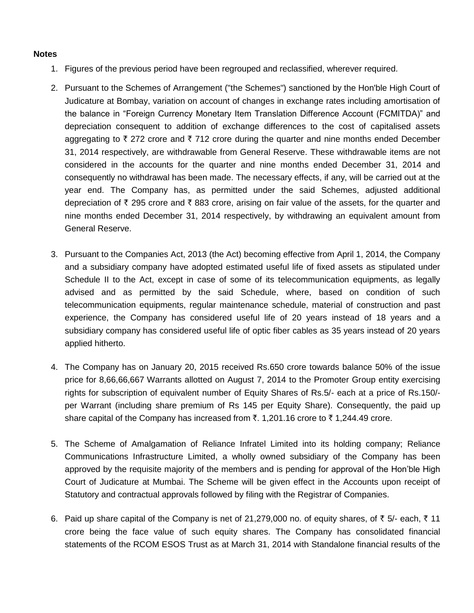## **Notes**

- 1. Figures of the previous period have been regrouped and reclassified, wherever required.
- 2. Pursuant to the Schemes of Arrangement ("the Schemes") sanctioned by the Hon'ble High Court of Judicature at Bombay, variation on account of changes in exchange rates including amortisation of the balance in "Foreign Currency Monetary Item Translation Difference Account (FCMITDA)" and depreciation consequent to addition of exchange differences to the cost of capitalised assets aggregating to  $\bar{\tau}$  272 crore and  $\bar{\tau}$  712 crore during the quarter and nine months ended December 31, 2014 respectively, are withdrawable from General Reserve. These withdrawable items are not considered in the accounts for the quarter and nine months ended December 31, 2014 and consequently no withdrawal has been made. The necessary effects, if any, will be carried out at the year end. The Company has, as permitted under the said Schemes, adjusted additional depreciation of  $\bar{\tau}$  295 crore and  $\bar{\tau}$  883 crore, arising on fair value of the assets, for the quarter and nine months ended December 31, 2014 respectively, by withdrawing an equivalent amount from General Reserve.
- 3. Pursuant to the Companies Act, 2013 (the Act) becoming effective from April 1, 2014, the Company and a subsidiary company have adopted estimated useful life of fixed assets as stipulated under Schedule II to the Act, except in case of some of its telecommunication equipments, as legally advised and as permitted by the said Schedule, where, based on condition of such telecommunication equipments, regular maintenance schedule, material of construction and past experience, the Company has considered useful life of 20 years instead of 18 years and a subsidiary company has considered useful life of optic fiber cables as 35 years instead of 20 years applied hitherto.
- 4. The Company has on January 20, 2015 received Rs.650 crore towards balance 50% of the issue price for 8,66,66,667 Warrants allotted on August 7, 2014 to the Promoter Group entity exercising rights for subscription of equivalent number of Equity Shares of Rs.5/- each at a price of Rs.150/ per Warrant (including share premium of Rs 145 per Equity Share). Consequently, the paid up share capital of the Company has increased from  $\bar{\tau}$ . 1,201.16 crore to  $\bar{\tau}$  1,244.49 crore.
- 5. The Scheme of Amalgamation of Reliance Infratel Limited into its holding company; Reliance Communications Infrastructure Limited, a wholly owned subsidiary of the Company has been approved by the requisite majority of the members and is pending for approval of the Hon'ble High Court of Judicature at Mumbai. The Scheme will be given effect in the Accounts upon receipt of Statutory and contractual approvals followed by filing with the Registrar of Companies.
- 6. Paid up share capital of the Company is net of 21,279,000 no. of equity shares, of  $\bar{\tau}$  5/- each,  $\bar{\tau}$  11 crore being the face value of such equity shares. The Company has consolidated financial statements of the RCOM ESOS Trust as at March 31, 2014 with Standalone financial results of the